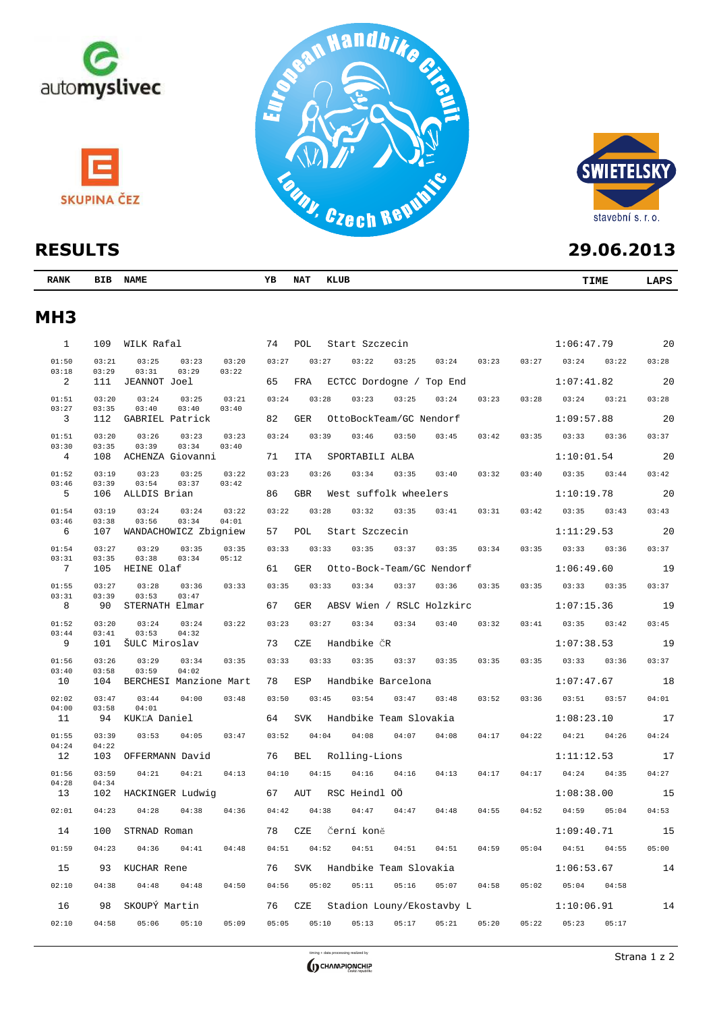



| ▎▚▙◡◡▙▗▗        |                |                                           |        |                                |                              |       |       |       |       |            | . J . V V . Ł V I J |       |
|-----------------|----------------|-------------------------------------------|--------|--------------------------------|------------------------------|-------|-------|-------|-------|------------|---------------------|-------|
| <b>RANK</b>     |                | BIB NAME                                  | YB     | <b>NAT</b>                     | KLUB                         |       |       |       |       |            | <b>TIME</b>         | LAPS  |
| MH <sub>3</sub> |                |                                           |        |                                |                              |       |       |       |       |            |                     |       |
| $\mathbf{1}$    | 109            | WILK Rafal                                | 74 POL |                                | Start Szczecin               |       |       |       |       |            | $1:06:47.79$ 20     |       |
| 01:50           | 03:21          | 03:25<br>03:23<br>03:20                   | 03:27  | 03:27                          | 03:22                        | 03:25 | 03:24 | 03:23 | 03:27 | 03:24      | 03:22               | 03:28 |
| 03:18           | 03:29          | 03:31<br>03:29<br>03:22                   |        |                                |                              |       |       |       |       |            |                     |       |
| 2               | 111            | JEANNOT Joel                              | 65     |                                | FRA ECTCC Dordogne / Top End |       |       |       |       | 1:07:41.82 | 20                  |       |
| 01:51           | 03:20          | 03:24<br>03:25<br>03:21                   | 03:24  | 03:28                          | 03:23                        | 03:25 | 03:24 | 03:23 | 03:28 |            | $03:24$ $03:21$     | 03:28 |
| 03:27           | 03:35          | 03:40<br>03:40<br>03:40                   |        |                                |                              |       |       |       |       |            |                     |       |
| $\overline{3}$  | 112            | GABRIEL Patrick                           | 82     | OttoBockTeam/GC Nendorf<br>GER |                              |       |       |       |       | 1:09:57.88 | 20                  |       |
| 01:51           | 03:20          | 03:26<br>03:23<br>03:23                   | 03:24  | 03:39                          | 03:46                        | 03:50 | 03:45 | 03:42 | 03:35 | 03:33      | 03:36               | 03:37 |
| 03:30           | 03:35          | 03:34<br>03:39<br>03:40                   |        |                                |                              |       |       |       |       |            |                     |       |
| $\overline{4}$  | 108            | ACHENZA Giovanni                          | 71     | ITA                            | SPORTABILI ALBA              |       |       |       |       |            | 1:10:01.54          | 20    |
| 01:52           | 03:19          | 03:25<br>03:23<br>03:22                   | 03:23  | 03:26                          | 03:34                        | 03:35 | 03:40 | 03:32 | 03:40 |            | $03:35$ $03:44$     | 03:42 |
| 03:46           | 03:39          | 03:54<br>03:37<br>03:42                   |        |                                |                              |       |       |       |       |            |                     |       |
| $5^{\circ}$     | 106            | ALLDIS Brian                              | 86     | GBR                            | West suffolk wheelers        |       |       |       |       |            | $1:10:19.78$ 20     |       |
| 01:54           | 03:19          | 03:24<br>03:24<br>03:22                   | 03:22  | 03:28                          | $03:32$ $03:35$              |       | 03:41 | 03:31 | 03:42 | 03:35      | 03:43               | 03:43 |
| 03:46           | 03:38          | 03:56<br>03:34<br>04:01                   |        |                                |                              |       |       |       |       |            |                     |       |
| $6^{\circ}$     | 107            | WANDACHOWICZ Zbigniew                     | 57     | POL                            | Start Szczecin               |       |       |       |       | 1:11:29.53 | 20                  |       |
| 01:54           | 03:27          | 03:29<br>03:35<br>03:35                   | 03:33  | 03:33                          | 03:35                        | 03:37 | 03:35 | 03:34 | 03:35 |            | $03:33$ $03:36$     | 03:37 |
| 03:31           | 03:35          | 03:38<br>05:12<br>03:34                   |        |                                |                              |       |       |       |       |            |                     |       |
| $7\overline{ }$ | 105            | HEINE Olaf                                | 61     | GER                            | Otto-Bock-Team/GC Nendorf    |       |       |       |       | 1:06:49.60 | 19                  |       |
| 01:55           | 03:27          | 03:28<br>03:36<br>03:33                   | 03:35  | 03:33                          | 03:34                        | 03:37 | 03:36 | 03:35 | 03:35 |            | $03:33$ $03:35$     | 03:37 |
| 03:31           | 03:39          | 03:53<br>03:47                            |        |                                |                              |       |       |       |       |            |                     |       |
| 8               | 90             | STERNATH Elmar                            | 67     | GER                            | ABSV Wien / RSLC Holzkirc    |       |       |       |       |            | 1:07:15.36          | 19    |
|                 |                |                                           |        |                                |                              |       |       |       |       |            |                     |       |
| 01:52<br>03:44  | 03:20<br>03:41 | 03:24<br>03:22<br>03:24<br>03:53<br>04:32 | 03:23  | 03:27                          | 03:34                        | 03:34 | 03:40 | 03:32 | 03:41 |            | $03:35$ $03:42$     | 03:45 |
| 9               | 101            | ŠULC Miroslav                             | 73 CZE |                                | Handbike ČR                  |       |       |       |       |            | $1:07:38.53$ 19     |       |
|                 |                |                                           |        |                                |                              |       |       |       |       |            |                     |       |

01:56 03:26 03:29 03:34 03:35 03:33 03:33 03:35 03:37 03:35 03:35 03:35 03:33 03:36 03:37

ESP Handbike Barcelona

02:02 03:47 03:44 04:00 03:48 03:50 03:45 03:54 03:47 03:48 03:52 03:36 03:51 03:57 04:01

SVK

BEL

AUT

CZE

 $CZF$ 

01:55 03:39 03:53 04:05 03:47 03:52 04:04 04:08 04:07 04:08 04:17 04:22 04:21 04:26 04:24

01:56 03:59 04:21 04:21 04:13 04:10 04:15 04:16 04:16 04:13 04:17 04:17 04:24 04:35 04:27

13 102 HACKINGER Ludwig 67 RSC Heindl OÖ 1:08:38.00 15 02:01 04:23 04:28 04:38 04:36 04:42 04:38 04:47 04:47 04:48 04:55 04:52 04:59 05:04 04:53

14 100 STRNAD Roman 78 Černí koně 1:09:40.71 15 01:59 04:23 04:36 04:41 04:48 04:51 04:52 04:51 04:51 04:51 04:59 05:04 04:51 04:55 05:00

15 93 KUCHAR Rene 76 Handbike Team Slovakia 1:06:53.67 14 SVK

16 98 SKOUPÝ Martin 76 Stadion Louny/Ekostavby L 1:10:06.91 14

10 104 BERCHESI Manzione Mart 78 Handbike Barcelona 1:07:47.67 18

11 94 KUKĽA Daniel 64 Handbike Team Slovakia 1:08:23.10 17

12 103 OFFERMANN David 76 Rolling-Lions 1:11:12.53 17

03:40 03:58 03:59 04:02

04:00 03:58 04:01<br>11 94 KUKLA

04:28 04:34

 $04:24$   $04:22$ <br>12 103

timing + data processing realized by  $\overline{S}$  CHAMPIONCHIP

02:10 04:38 04:48 04:48 04:50 04:56 05:02 05:11 05:16 05:07 04:58 05:02 05:04 04:58

02:10 04:58 05:06 05:10 05:09 05:05 05:10 05:13 05:17 05:21 05:20 05:22 05:23 05:17